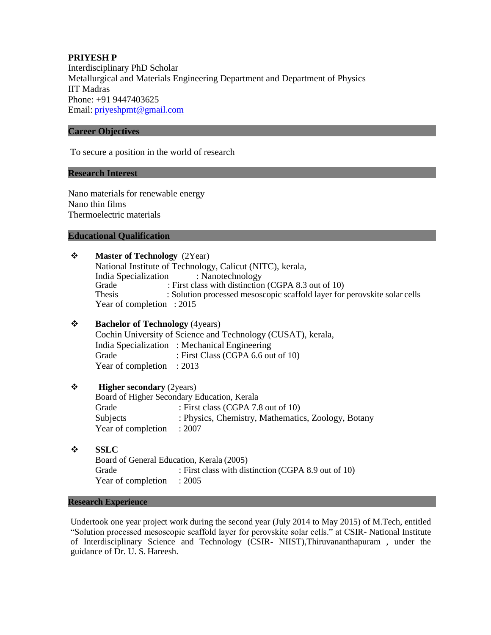# **PRIYESH P** Interdisciplinary PhD Scholar Metallurgical and Materials Engineering Department and Department of Physics IIT Madras Phone: +91 9447403625 Email: [priyeshpmt@gmail.com](mailto:priyeshpmt@gmail.com)

# **Career Objectives**

To secure a position in the world of research

# **Research Interest**

Nano materials for renewable energy Nano thin films Thermoelectric materials

## **Educational Qualification**

| ❖ | <b>Master of Technology</b> (2Year)<br>National Institute of Technology, Calicut (NITC), kerala, |                                                                           |  |  |
|---|--------------------------------------------------------------------------------------------------|---------------------------------------------------------------------------|--|--|
|   |                                                                                                  |                                                                           |  |  |
|   | India Specialization<br>: Nanotechnology                                                         |                                                                           |  |  |
|   | Grade                                                                                            | : First class with distinction (CGPA 8.3 out of 10)                       |  |  |
|   | Thesis                                                                                           | : Solution processed mesoscopic scaffold layer for perovskite solar cells |  |  |
|   | Year of completion : 2015                                                                        |                                                                           |  |  |
| ❖ | <b>Bachelor of Technology</b> (4years)                                                           |                                                                           |  |  |
|   | Cochin University of Science and Technology (CUSAT), kerala,                                     |                                                                           |  |  |
|   |                                                                                                  | India Specialization : Mechanical Engineering                             |  |  |
|   | Grade                                                                                            | : First Class (CGPA 6.6 out of 10)                                        |  |  |
|   | Year of completion                                                                               | : 2013                                                                    |  |  |
| ❖ | <b>Higher secondary (2years)</b>                                                                 |                                                                           |  |  |
|   | Board of Higher Secondary Education, Kerala                                                      |                                                                           |  |  |
|   | Grade                                                                                            | : First class (CGPA 7.8 out of 10)                                        |  |  |
|   | <b>Subjects</b>                                                                                  | : Physics, Chemistry, Mathematics, Zoology, Botany                        |  |  |
|   | Year of completion                                                                               | : 2007                                                                    |  |  |
| ❖ | <b>SSLC</b>                                                                                      |                                                                           |  |  |
|   | Board of General Education, Kerala (2005)                                                        |                                                                           |  |  |
|   | Grade                                                                                            | : First class with distinction (CGPA 8.9 out of 10)                       |  |  |
|   | Year of completion                                                                               | : 2005                                                                    |  |  |
|   | <b>Research Experience</b>                                                                       |                                                                           |  |  |
|   |                                                                                                  |                                                                           |  |  |

Undertook one year project work during the second year (July 2014 to May 2015) of M.Tech, entitled "Solution processed mesoscopic scaffold layer for perovskite solar cells." at CSIR- National Institute of Interdisciplinary Science and Technology (CSIR- NIIST),Thiruvananthapuram , under the guidance of Dr. U. S. Hareesh.